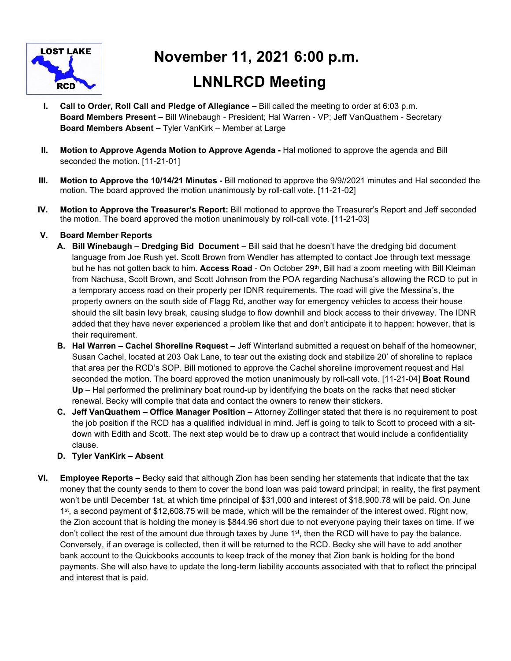

# **November 11, 2021 6:00 p.m. LNNLRCD Meeting**

- **I.** Call to Order, Roll Call and Pledge of Allegiance Bill called the meeting to order at 6:03 p.m. **Board Members Present –** Bill Winebaugh - President; Hal Warren - VP; Jeff VanQuathem - Secretary **Board Members Absent –** Tyler VanKirk – Member at Large
- **II. Motion to Approve Agenda Motion to Approve Agenda** Hal motioned to approve the agenda and Bill seconded the motion. [11-21-01]
- **III. Motion to Approve the 10/14/21 Minutes** Bill motioned to approve the 9/9//2021 minutes and Hal seconded the motion. The board approved the motion unanimously by roll-call vote. [11-21-02]
- **IV. Motion to Approve the Treasurer's Report:** Bill motioned to approve the Treasurer's Report and Jeff seconded the motion. The board approved the motion unanimously by roll-call vote. [11-21-03]

## **V. Board Member Reports**

- **A. Bill Winebaugh Dredging Bid Document** Bill said that he doesn't have the dredging bid document language from Joe Rush yet. Scott Brown from Wendler has attempted to contact Joe through text message but he has not gotten back to him. **Access Road** - On October 29th, Bill had a zoom meeting with Bill Kleiman from Nachusa, Scott Brown, and Scott Johnson from the POA regarding Nachusa's allowing the RCD to put in a temporary access road on their property per IDNR requirements. The road will give the Messina's, the property owners on the south side of Flagg Rd, another way for emergency vehicles to access their house should the silt basin levy break, causing sludge to flow downhill and block access to their driveway. The IDNR added that they have never experienced a problem like that and don't anticipate it to happen; however, that is their requirement.
- **B. Hal Warren Cachel Shoreline Request** Jeff Winterland submitted a request on behalf of the homeowner, Susan Cachel, located at 203 Oak Lane, to tear out the existing dock and stabilize 20' of shoreline to replace that area per the RCD's SOP. Bill motioned to approve the Cachel shoreline improvement request and Hal seconded the motion. The board approved the motion unanimously by roll-call vote. [11-21-04] **Boat Round Up** – Hal performed the preliminary boat round-up by identifying the boats on the racks that need sticker renewal. Becky will compile that data and contact the owners to renew their stickers.
- **C. Jeff VanQuathem Office Manager Position** Attorney Zollinger stated that there is no requirement to post the job position if the RCD has a qualified individual in mind. Jeff is going to talk to Scott to proceed with a sitdown with Edith and Scott. The next step would be to draw up a contract that would include a confidentiality clause.

### **D. Tyler VanKirk – Absent**

**VI. Employee Reports –** Becky said that although Zion has been sending her statements that indicate that the tax money that the county sends to them to cover the bond loan was paid toward principal; in reality, the first payment won't be until December 1st, at which time principal of \$31,000 and interest of \$18,900.78 will be paid. On June 1<sup>st</sup>, a second payment of \$12,608.75 will be made, which will be the remainder of the interest owed. Right now, the Zion account that is holding the money is \$844.96 short due to not everyone paying their taxes on time. If we don't collect the rest of the amount due through taxes by June 1st, then the RCD will have to pay the balance. Conversely, if an overage is collected, then it will be returned to the RCD. Becky she will have to add another bank account to the Quickbooks accounts to keep track of the money that Zion bank is holding for the bond payments. She will also have to update the long-term liability accounts associated with that to reflect the principal and interest that is paid.